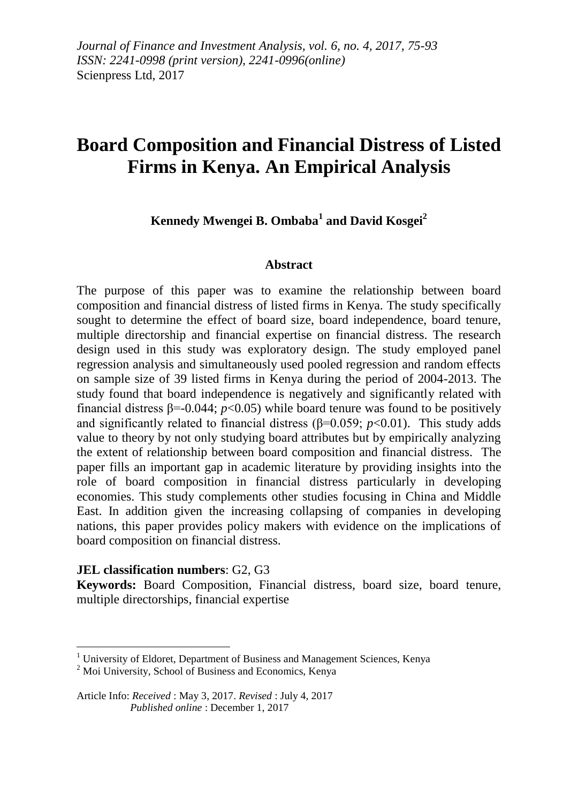# **Board Composition and Financial Distress of Listed Firms in Kenya. An Empirical Analysis**

**Kennedy Mwengei B. Ombaba<sup>1</sup> and David Kosgei<sup>2</sup>**

### **Abstract**

The purpose of this paper was to examine the relationship between board composition and financial distress of listed firms in Kenya. The study specifically sought to determine the effect of board size, board independence, board tenure, multiple directorship and financial expertise on financial distress. The research design used in this study was exploratory design. The study employed panel regression analysis and simultaneously used pooled regression and random effects on sample size of 39 listed firms in Kenya during the period of 2004-2013. The study found that board independence is negatively and significantly related with financial distress  $\beta$ =-0.044;  $p$ <0.05) while board tenure was found to be positively and significantly related to financial distress ( $\beta$ =0.059; *p*<0.01). This study adds value to theory by not only studying board attributes but by empirically analyzing the extent of relationship between board composition and financial distress. The paper fills an important gap in academic literature by providing insights into the role of board composition in financial distress particularly in developing economies. This study complements other studies focusing in China and Middle East. In addition given the increasing collapsing of companies in developing nations, this paper provides policy makers with evidence on the implications of board composition on financial distress.

### **JEL classification numbers**: G2, G3

 $\overline{a}$ 

**Keywords:** Board Composition, Financial distress, board size, board tenure, multiple directorships, financial expertise

 $1$  University of Eldoret, Department of Business and Management Sciences, Kenya

<sup>&</sup>lt;sup>2</sup> Moi University, School of Business and Economics, Kenya

Article Info: *Received* : May 3, 2017. *Revised* : July 4, 2017  *Published online* : December 1, 2017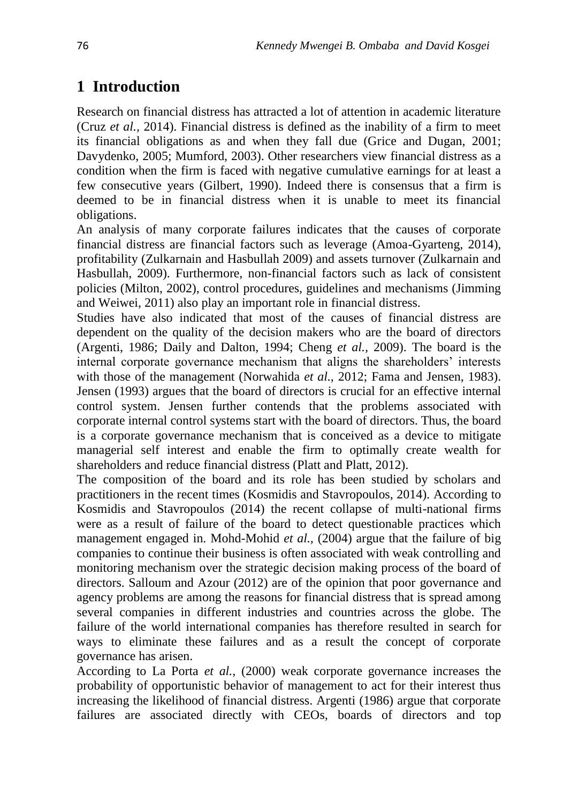# **1 Introduction**

Research on financial distress has attracted a lot of attention in academic literature (Cruz *et al.,* 2014). Financial distress is defined as the inability of a firm to meet its financial obligations as and when they fall due (Grice and Dugan, 2001; Davydenko, 2005; Mumford, 2003). Other researchers view financial distress as a condition when the firm is faced with negative cumulative earnings for at least a few consecutive years (Gilbert, 1990). Indeed there is consensus that a firm is deemed to be in financial distress when it is unable to meet its financial obligations.

An analysis of many corporate failures indicates that the causes of corporate financial distress are financial factors such as leverage (Amoa-Gyarteng, 2014), profitability (Zulkarnain and Hasbullah 2009) and assets turnover (Zulkarnain and Hasbullah, 2009). Furthermore, non-financial factors such as lack of consistent policies (Milton, 2002), control procedures, guidelines and mechanisms (Jimming and Weiwei, 2011) also play an important role in financial distress.

Studies have also indicated that most of the causes of financial distress are dependent on the quality of the decision makers who are the board of directors (Argenti, 1986; Daily and Dalton, 1994; Cheng *et al.,* 2009). The board is the internal corporate governance mechanism that aligns the shareholders' interests with those of the management (Norwahida *et al.,* 2012; Fama and Jensen, 1983). Jensen (1993) argues that the board of directors is crucial for an effective internal control system. Jensen further contends that the problems associated with corporate internal control systems start with the board of directors. Thus, the board is a corporate governance mechanism that is conceived as a device to mitigate managerial self interest and enable the firm to optimally create wealth for shareholders and reduce financial distress (Platt and Platt, 2012).

The composition of the board and its role has been studied by scholars and practitioners in the recent times (Kosmidis and Stavropoulos, 2014). According to Kosmidis and Stavropoulos (2014) the recent collapse of multi-national firms were as a result of failure of the board to detect questionable practices which management engaged in. Mohd-Mohid *et al.,* (2004) argue that the failure of big companies to continue their business is often associated with weak controlling and monitoring mechanism over the strategic decision making process of the board of directors. Salloum and Azour (2012) are of the opinion that poor governance and agency problems are among the reasons for financial distress that is spread among several companies in different industries and countries across the globe. The failure of the world international companies has therefore resulted in search for ways to eliminate these failures and as a result the concept of corporate governance has arisen.

According to La Porta *et al.,* (2000) weak corporate governance increases the probability of opportunistic behavior of management to act for their interest thus increasing the likelihood of financial distress. Argenti (1986) argue that corporate failures are associated directly with CEOs, boards of directors and top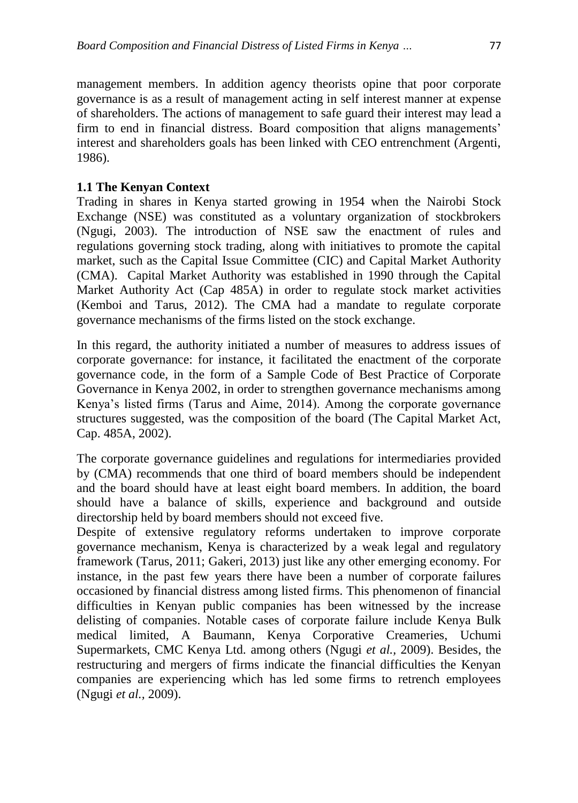management members. In addition agency theorists opine that poor corporate governance is as a result of management acting in self interest manner at expense of shareholders. The actions of management to safe guard their interest may lead a firm to end in financial distress. Board composition that aligns managements' interest and shareholders goals has been linked with CEO entrenchment (Argenti, 1986).

### **1.1 The Kenyan Context**

Trading in shares in Kenya started growing in 1954 when the Nairobi Stock Exchange (NSE) was constituted as a voluntary organization of stockbrokers (Ngugi, 2003). The introduction of NSE saw the enactment of rules and regulations governing stock trading, along with initiatives to promote the capital market, such as the Capital Issue Committee (CIC) and Capital Market Authority (CMA). Capital Market Authority was established in 1990 through the Capital Market Authority Act (Cap 485A) in order to regulate stock market activities (Kemboi and Tarus, 2012). The CMA had a mandate to regulate corporate governance mechanisms of the firms listed on the stock exchange.

In this regard, the authority initiated a number of measures to address issues of corporate governance: for instance, it facilitated the enactment of the corporate governance code, in the form of a Sample Code of Best Practice of Corporate Governance in Kenya 2002, in order to strengthen governance mechanisms among Kenya's listed firms (Tarus and Aime, 2014). Among the corporate governance structures suggested, was the composition of the board (The Capital Market Act, Cap. 485A, 2002).

The corporate governance guidelines and regulations for intermediaries provided by (CMA) recommends that one third of board members should be independent and the board should have at least eight board members. In addition, the board should have a balance of skills, experience and background and outside directorship held by board members should not exceed five.

Despite of extensive regulatory reforms undertaken to improve corporate governance mechanism, Kenya is characterized by a weak legal and regulatory framework (Tarus, 2011; Gakeri, 2013) just like any other emerging economy. For instance, in the past few years there have been a number of corporate failures occasioned by financial distress among listed firms. This phenomenon of financial difficulties in Kenyan public companies has been witnessed by the increase delisting of companies. Notable cases of corporate failure include Kenya Bulk medical limited, A Baumann, Kenya Corporative Creameries, Uchumi Supermarkets, CMC Kenya Ltd. among others (Ngugi *et al.,* 2009). Besides, the restructuring and mergers of firms indicate the financial difficulties the Kenyan companies are experiencing which has led some firms to retrench employees (Ngugi *et al.,* 2009).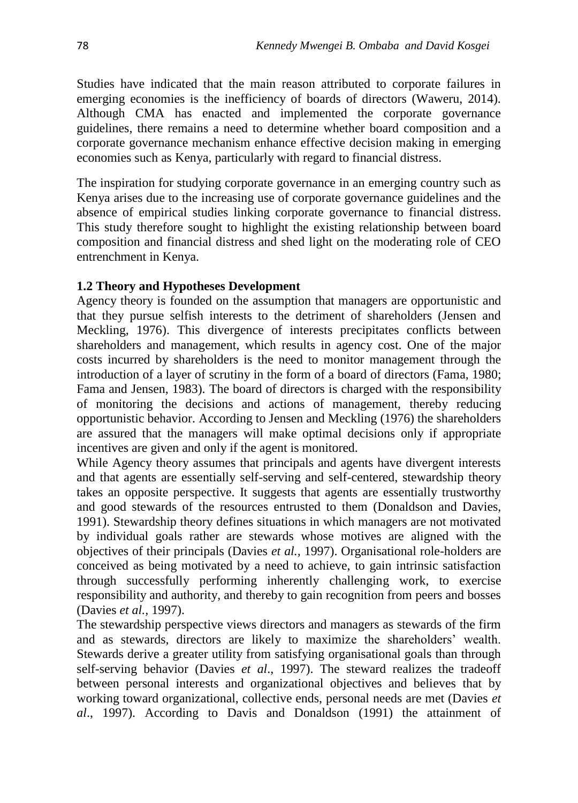Studies have indicated that the main reason attributed to corporate failures in emerging economies is the inefficiency of boards of directors (Waweru, 2014). Although CMA has enacted and implemented the corporate governance guidelines, there remains a need to determine whether board composition and a corporate governance mechanism enhance effective decision making in emerging economies such as Kenya, particularly with regard to financial distress.

The inspiration for studying corporate governance in an emerging country such as Kenya arises due to the increasing use of corporate governance guidelines and the absence of empirical studies linking corporate governance to financial distress. This study therefore sought to highlight the existing relationship between board composition and financial distress and shed light on the moderating role of CEO entrenchment in Kenya.

### **1.2 Theory and Hypotheses Development**

Agency theory is founded on the assumption that managers are opportunistic and that they pursue selfish interests to the detriment of shareholders (Jensen and Meckling, 1976). This divergence of interests precipitates conflicts between shareholders and management, which results in agency cost. One of the major costs incurred by shareholders is the need to monitor management through the introduction of a layer of scrutiny in the form of a board of directors (Fama, 1980; Fama and Jensen, 1983). The board of directors is charged with the responsibility of monitoring the decisions and actions of management, thereby reducing opportunistic behavior. According to Jensen and Meckling (1976) the shareholders are assured that the managers will make optimal decisions only if appropriate incentives are given and only if the agent is monitored.

While Agency theory assumes that principals and agents have divergent interests and that agents are essentially self-serving and self-centered, stewardship theory takes an opposite perspective. It suggests that agents are essentially trustworthy and good stewards of the resources entrusted to them (Donaldson and Davies, 1991). Stewardship theory defines situations in which managers are not motivated by individual goals rather are stewards whose motives are aligned with the objectives of their principals (Davies *et al.,* 1997). Organisational role-holders are conceived as being motivated by a need to achieve, to gain intrinsic satisfaction through successfully performing inherently challenging work, to exercise responsibility and authority, and thereby to gain recognition from peers and bosses (Davies *et al.,* 1997).

The stewardship perspective views directors and managers as stewards of the firm and as stewards, directors are likely to maximize the shareholders' wealth. Stewards derive a greater utility from satisfying organisational goals than through self-serving behavior (Davies *et al*., 1997). The steward realizes the tradeoff between personal interests and organizational objectives and believes that by working toward organizational, collective ends, personal needs are met (Davies *et al*., 1997). According to Davis and Donaldson (1991) the attainment of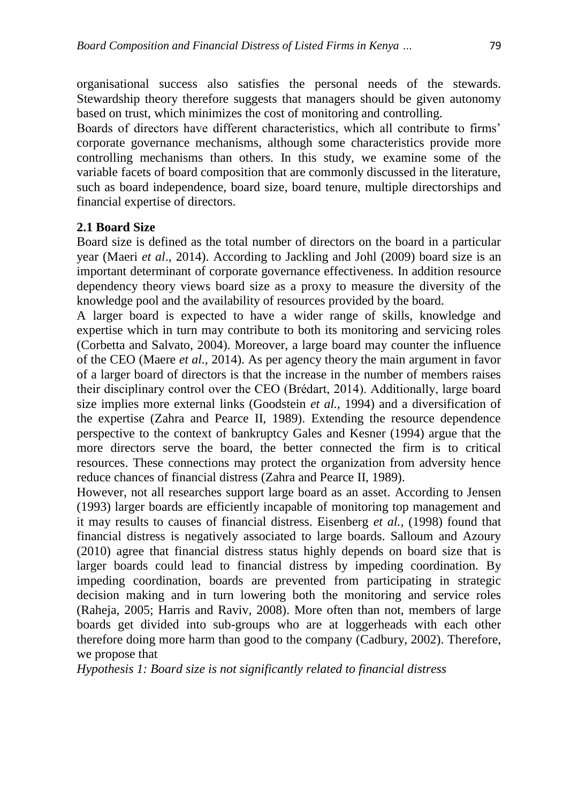organisational success also satisfies the personal needs of the stewards. Stewardship theory therefore suggests that managers should be given autonomy based on trust, which minimizes the cost of monitoring and controlling.

Boards of directors have different characteristics, which all contribute to firms' corporate governance mechanisms, although some characteristics provide more controlling mechanisms than others. In this study, we examine some of the variable facets of board composition that are commonly discussed in the literature, such as board independence, board size, board tenure, multiple directorships and financial expertise of directors.

### **2.1 Board Size**

Board size is defined as the total number of directors on the board in a particular year (Maeri *et al*., 2014). According to Jackling and Johl (2009) board size is an important determinant of corporate governance effectiveness. In addition resource dependency theory views board size as a proxy to measure the diversity of the knowledge pool and the availability of resources provided by the board.

A larger board is expected to have a wider range of skills, knowledge and expertise which in turn may contribute to both its monitoring and servicing roles (Corbetta and Salvato, 2004). Moreover, a large board may counter the influence of the CEO (Maere *et al.,* 2014). As per agency theory the main argument in favor of a larger board of directors is that the increase in the number of members raises their disciplinary control over the CEO (Brédart, 2014). Additionally, large board size implies more external links (Goodstein *et al.,* 1994) and a diversification of the expertise (Zahra and Pearce II, 1989). Extending the resource dependence perspective to the context of bankruptcy Gales and Kesner (1994) argue that the more directors serve the board, the better connected the firm is to critical resources. These connections may protect the organization from adversity hence reduce chances of financial distress (Zahra and Pearce II, 1989).

However, not all researches support large board as an asset. According to Jensen (1993) larger boards are efficiently incapable of monitoring top management and it may results to causes of financial distress. Eisenberg *et al.,* (1998) found that financial distress is negatively associated to large boards. Salloum and Azoury (2010) agree that financial distress status highly depends on board size that is larger boards could lead to financial distress by impeding coordination. By impeding coordination, boards are prevented from participating in strategic decision making and in turn lowering both the monitoring and service roles (Raheja, 2005; Harris and Raviv, 2008). More often than not, members of large boards get divided into sub-groups who are at loggerheads with each other therefore doing more harm than good to the company (Cadbury, 2002). Therefore, we propose that

*Hypothesis 1: Board size is not significantly related to financial distress*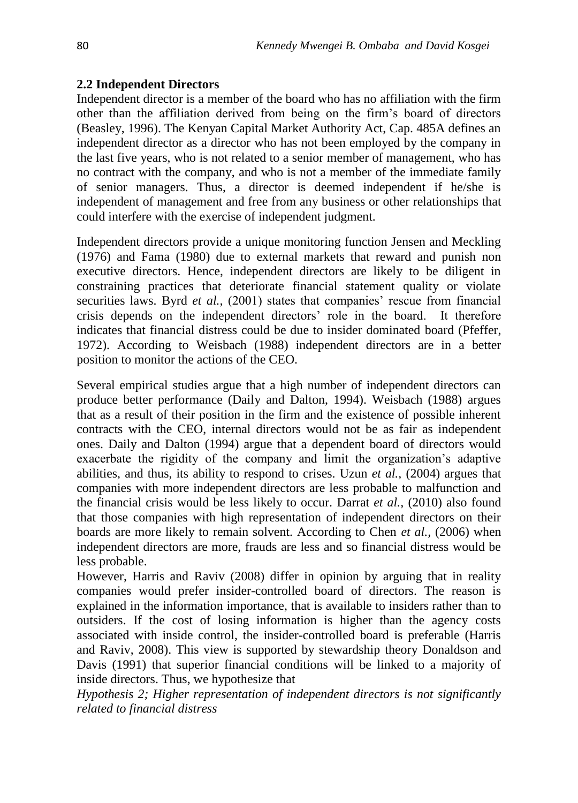### **2.2 Independent Directors**

Independent director is a member of the board who has no affiliation with the firm other than the affiliation derived from being on the firm's board of directors (Beasley, 1996). The Kenyan Capital Market Authority Act, Cap. 485A defines an independent director as a director who has not been employed by the company in the last five years, who is not related to a senior member of management, who has no contract with the company, and who is not a member of the immediate family of senior managers. Thus, a director is deemed independent if he/she is independent of management and free from any business or other relationships that could interfere with the exercise of independent judgment.

Independent directors provide a unique monitoring function Jensen and Meckling (1976) and Fama (1980) due to external markets that reward and punish non executive directors. Hence, independent directors are likely to be diligent in constraining practices that deteriorate financial statement quality or violate securities laws. Byrd *et al.*, (2001) states that companies' rescue from financial crisis depends on the independent directors' role in the board. It therefore indicates that financial distress could be due to insider dominated board (Pfeffer, 1972). According to Weisbach (1988) independent directors are in a better position to monitor the actions of the CEO.

Several empirical studies argue that a high number of independent directors can produce better performance (Daily and Dalton, 1994). Weisbach (1988) argues that as a result of their position in the firm and the existence of possible inherent contracts with the CEO, internal directors would not be as fair as independent ones. Daily and Dalton (1994) argue that a dependent board of directors would exacerbate the rigidity of the company and limit the organization's adaptive abilities, and thus, its ability to respond to crises. Uzun *et al.,* (2004) argues that companies with more independent directors are less probable to malfunction and the financial crisis would be less likely to occur. Darrat *et al.,* (2010) also found that those companies with high representation of independent directors on their boards are more likely to remain solvent. According to Chen *et al.,* (2006) when independent directors are more, frauds are less and so financial distress would be less probable.

However, Harris and Raviv (2008) differ in opinion by arguing that in reality companies would prefer insider-controlled board of directors. The reason is explained in the information importance, that is available to insiders rather than to outsiders. If the cost of losing information is higher than the agency costs associated with inside control, the insider-controlled board is preferable (Harris and Raviv, 2008). This view is supported by stewardship theory Donaldson and Davis (1991) that superior financial conditions will be linked to a majority of inside directors. Thus, we hypothesize that

*Hypothesis 2; Higher representation of independent directors is not significantly related to financial distress*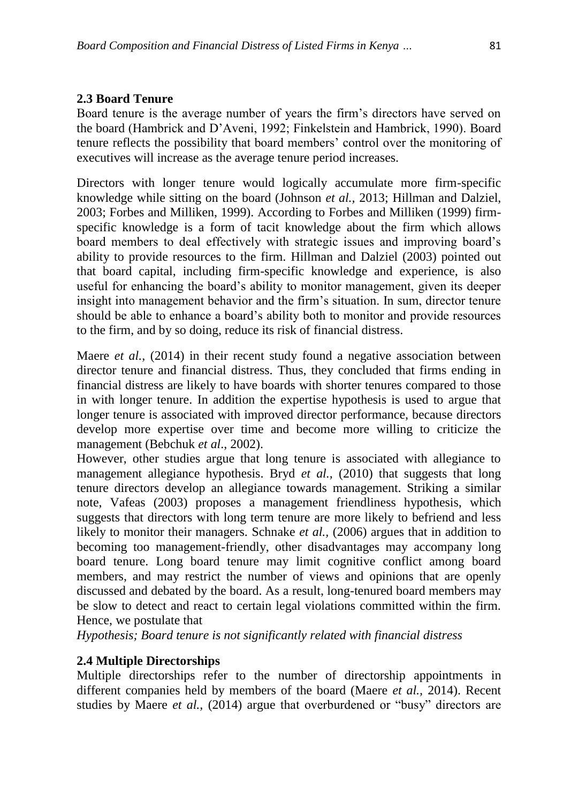### **2.3 Board Tenure**

Board tenure is the average number of years the firm's directors have served on the board (Hambrick and D'Aveni, 1992; Finkelstein and Hambrick, 1990). Board tenure reflects the possibility that board members' control over the monitoring of executives will increase as the average tenure period increases.

Directors with longer tenure would logically accumulate more firm-specific knowledge while sitting on the board (Johnson *et al.,* 2013; Hillman and Dalziel, 2003; Forbes and Milliken, 1999). According to Forbes and Milliken (1999) firmspecific knowledge is a form of tacit knowledge about the firm which allows board members to deal effectively with strategic issues and improving board's ability to provide resources to the firm. Hillman and Dalziel (2003) pointed out that board capital, including firm-specific knowledge and experience, is also useful for enhancing the board's ability to monitor management, given its deeper insight into management behavior and the firm's situation. In sum, director tenure should be able to enhance a board's ability both to monitor and provide resources to the firm, and by so doing, reduce its risk of financial distress.

Maere *et al.,* (2014) in their recent study found a negative association between director tenure and financial distress. Thus, they concluded that firms ending in financial distress are likely to have boards with shorter tenures compared to those in with longer tenure. In addition the expertise hypothesis is used to argue that longer tenure is associated with improved director performance, because directors develop more expertise over time and become more willing to criticize the management (Bebchuk *et al*., 2002).

However, other studies argue that long tenure is associated with allegiance to management allegiance hypothesis. Bryd *et al.,* (2010) that suggests that long tenure directors develop an allegiance towards management. Striking a similar note, Vafeas (2003) proposes a management friendliness hypothesis, which suggests that directors with long term tenure are more likely to befriend and less likely to monitor their managers. Schnake *et al.,* (2006) argues that in addition to becoming too management-friendly, other disadvantages may accompany long board tenure. Long board tenure may limit cognitive conflict among board members, and may restrict the number of views and opinions that are openly discussed and debated by the board. As a result, long-tenured board members may be slow to detect and react to certain legal violations committed within the firm. Hence, we postulate that

*Hypothesis; Board tenure is not significantly related with financial distress*

### **2.4 Multiple Directorships**

Multiple directorships refer to the number of directorship appointments in different companies held by members of the board (Maere *et al.,* 2014). Recent studies by Maere *et al.,* (2014) argue that overburdened or "busy" directors are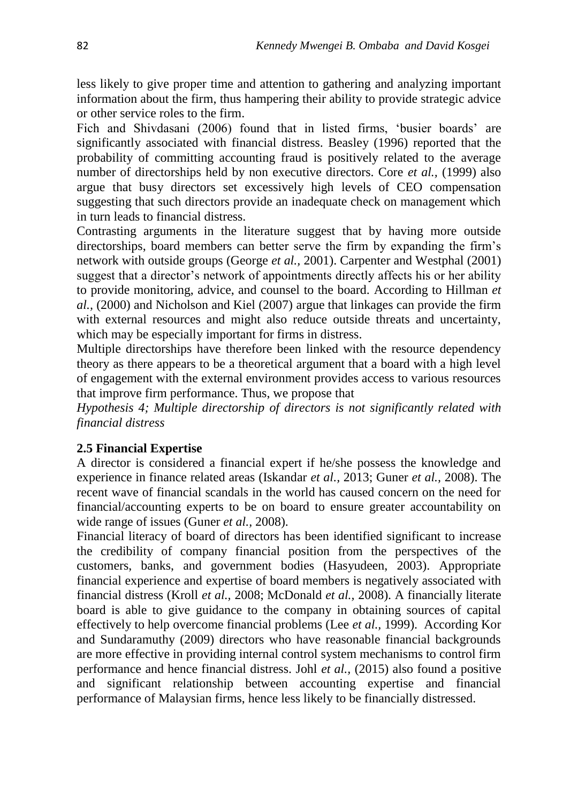less likely to give proper time and attention to gathering and analyzing important information about the firm, thus hampering their ability to provide strategic advice or other service roles to the firm.

Fich and Shivdasani (2006) found that in listed firms, 'busier boards' are significantly associated with financial distress. Beasley (1996) reported that the probability of committing accounting fraud is positively related to the average number of directorships held by non executive directors. Core *et al.,* (1999) also argue that busy directors set excessively high levels of CEO compensation suggesting that such directors provide an inadequate check on management which in turn leads to financial distress.

Contrasting arguments in the literature suggest that by having more outside directorships, board members can better serve the firm by expanding the firm's network with outside groups (George *et al.,* 2001). Carpenter and Westphal (2001) suggest that a director's network of appointments directly affects his or her ability to provide monitoring, advice, and counsel to the board. According to Hillman *et al.,* (2000) and Nicholson and Kiel (2007) argue that linkages can provide the firm with external resources and might also reduce outside threats and uncertainty, which may be especially important for firms in distress.

Multiple directorships have therefore been linked with the resource dependency theory as there appears to be a theoretical argument that a board with a high level of engagement with the external environment provides access to various resources that improve firm performance. Thus, we propose that

*Hypothesis 4; Multiple directorship of directors is not significantly related with financial distress*

### **2.5 Financial Expertise**

A director is considered a financial expert if he/she possess the knowledge and experience in finance related areas (Iskandar *et al.,* 2013; Guner *et al.,* 2008). The recent wave of financial scandals in the world has caused concern on the need for financial/accounting experts to be on board to ensure greater accountability on wide range of issues (Guner *et al.,* 2008).

Financial literacy of board of directors has been identified significant to increase the credibility of company financial position from the perspectives of the customers, banks, and government bodies (Hasyudeen, 2003). Appropriate financial experience and expertise of board members is negatively associated with financial distress (Kroll *et al.,* 2008; McDonald *et al.,* 2008). A financially literate board is able to give guidance to the company in obtaining sources of capital effectively to help overcome financial problems (Lee *et al.,* 1999). According Kor and Sundaramuthy (2009) directors who have reasonable financial backgrounds are more effective in providing internal control system mechanisms to control firm performance and hence financial distress. Johl *et al.,* (2015) also found a positive and significant relationship between accounting expertise and financial performance of Malaysian firms, hence less likely to be financially distressed.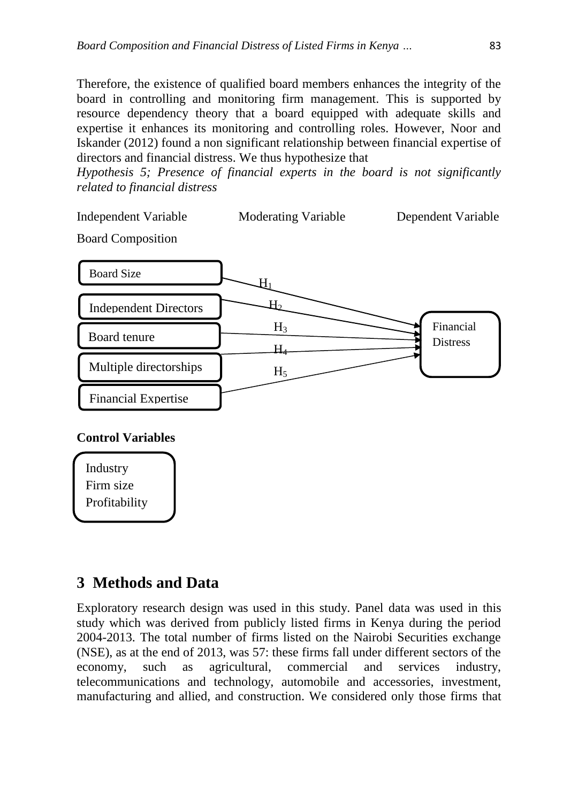Therefore, the existence of qualified board members enhances the integrity of the board in controlling and monitoring firm management. This is supported by resource dependency theory that a board equipped with adequate skills and expertise it enhances its monitoring and controlling roles. However, Noor and Iskander (2012) found a non significant relationship between financial expertise of directors and financial distress. We thus hypothesize that

*Hypothesis 5; Presence of financial experts in the board is not significantly related to financial distress*

Board Composition



### **Control Variables**

Industry Firm size Profitability

# **3 Methods and Data**

Exploratory research design was used in this study. Panel data was used in this study which was derived from publicly listed firms in Kenya during the period 2004-2013. The total number of firms listed on the Nairobi Securities exchange (NSE), as at the end of 2013, was 57: these firms fall under different sectors of the economy, such as agricultural, commercial and services industry, telecommunications and technology, automobile and accessories, investment, manufacturing and allied, and construction. We considered only those firms that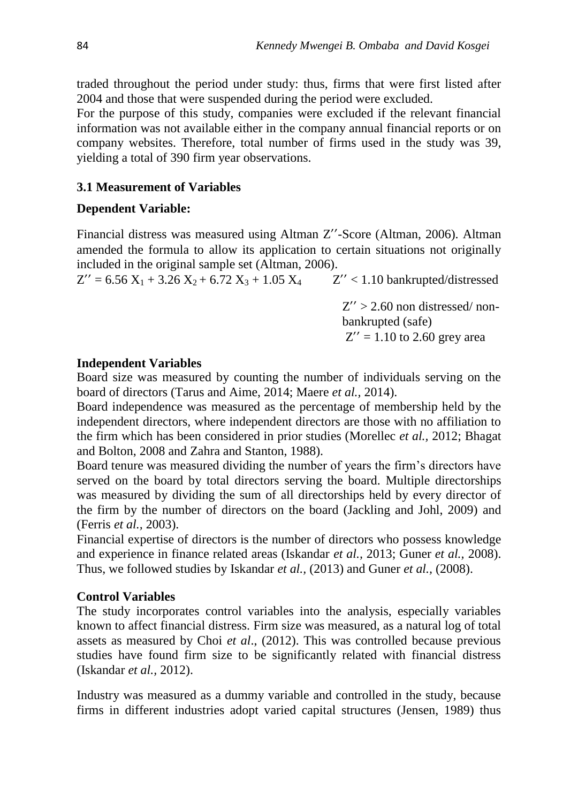traded throughout the period under study: thus, firms that were first listed after 2004 and those that were suspended during the period were excluded.

For the purpose of this study, companies were excluded if the relevant financial information was not available either in the company annual financial reports or on company websites. Therefore, total number of firms used in the study was 39, yielding a total of 390 firm year observations.

### **3.1 Measurement of Variables**

### **Dependent Variable:**

Financial distress was measured using Altman Z''-Score (Altman, 2006). Altman amended the formula to allow its application to certain situations not originally included in the original sample set (Altman, 2006).

 $Z'' = 6.56 X_1 + 3.26 X_2 + 6.72 X_3 + 1.05 X_4$   $Z'' < 1.10$  bankrupted/distressed

 $Z'' > 2.60$  non distressed/nonbankrupted (safe)  $Z'' = 1.10$  to 2.60 grey area

### **Independent Variables**

Board size was measured by counting the number of individuals serving on the board of directors (Tarus and Aime, 2014; Maere *et al.,* 2014).

Board independence was measured as the percentage of membership held by the independent directors, where independent directors are those with no affiliation to the firm which has been considered in prior studies (Morellec *et al.,* 2012; Bhagat and Bolton, 2008 and Zahra and Stanton, 1988).

Board tenure was measured dividing the number of years the firm's directors have served on the board by total directors serving the board. Multiple directorships was measured by dividing the sum of all directorships held by every director of the firm by the number of directors on the board (Jackling and Johl, 2009) and (Ferris *et al.,* 2003).

Financial expertise of directors is the number of directors who possess knowledge and experience in finance related areas (Iskandar *et al.,* 2013; Guner *et al.,* 2008). Thus, we followed studies by Iskandar *et al.,* (2013) and Guner *et al.,* (2008).

### **Control Variables**

The study incorporates control variables into the analysis, especially variables known to affect financial distress. Firm size was measured, as a natural log of total assets as measured by Choi *et al*., (2012). This was controlled because previous studies have found firm size to be significantly related with financial distress (Iskandar *et al.,* 2012).

Industry was measured as a dummy variable and controlled in the study, because firms in different industries adopt varied capital structures (Jensen, 1989) thus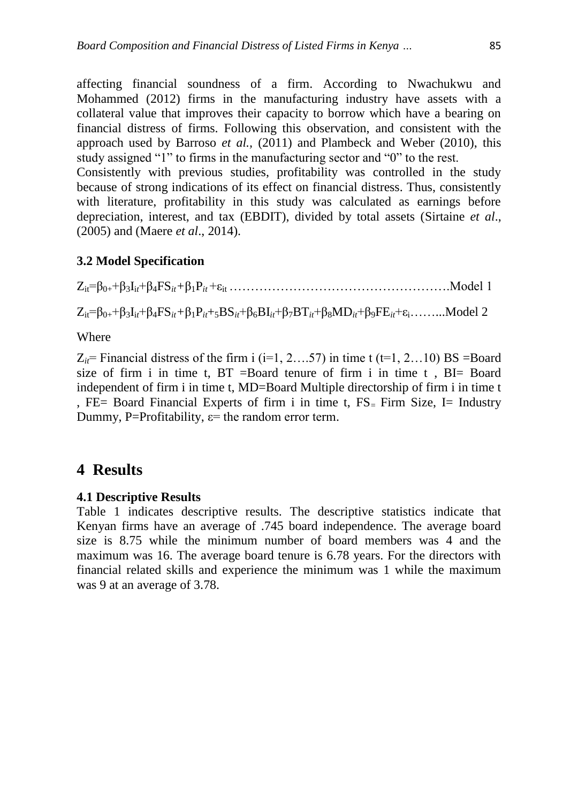affecting financial soundness of a firm. According to Nwachukwu and Mohammed (2012) firms in the manufacturing industry have assets with a collateral value that improves their capacity to borrow which have a bearing on financial distress of firms. Following this observation, and consistent with the approach used by Barroso *et al.,* (2011) and Plambeck and Weber (2010), this study assigned "1" to firms in the manufacturing sector and "0" to the rest.

Consistently with previous studies, profitability was controlled in the study because of strong indications of its effect on financial distress. Thus, consistently with literature, profitability in this study was calculated as earnings before depreciation, interest, and tax (EBDIT), divided by total assets (Sirtaine *et al*., (2005) and (Maere *et al*., 2014).

### **3.2 Model Specification**

 $Z_{it} = \beta_{0+} + \beta_3 I_{it} + \beta_4 FS_{it} + \beta_1 P_{it} + \varepsilon_{it}$  ……………………………………………………Model 1

 $Z_{it} = \beta_{0+} + \beta_3 I_{it} + \beta_4 FS_{it} + \beta_1 P_{it} + {}_5BS_{it} + \beta_6 BI_{it} + \beta_7 BT_{it} + \beta_8 MD_{it} + \beta_9 FE_{it} + \epsilon_i$ ……..Model 2

Where

 $Z_{it}$ = Financial distress of the firm i (i=1, 2...57) in time t (t=1, 2...10) BS = Board size of firm i in time t,  $BT = Board$  tenure of firm i in time t,  $BI = Board$ independent of firm i in time t, MD=Board Multiple directorship of firm i in time t , FE= Board Financial Experts of firm i in time t, FS*=* Firm Size, I= Industry Dummy, P=Profitability,  $\varepsilon$ = the random error term.

# **4 Results**

### **4.1 Descriptive Results**

Table 1 indicates descriptive results. The descriptive statistics indicate that Kenyan firms have an average of .745 board independence. The average board size is 8.75 while the minimum number of board members was 4 and the maximum was 16. The average board tenure is 6.78 years. For the directors with financial related skills and experience the minimum was 1 while the maximum was 9 at an average of 3.78.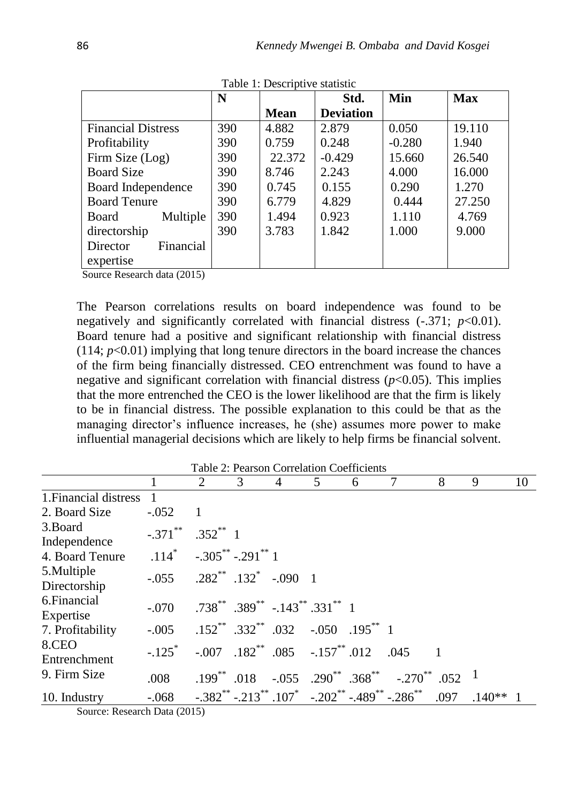|                                                                     | N   |             | Std.             | Min      | <b>Max</b> |
|---------------------------------------------------------------------|-----|-------------|------------------|----------|------------|
|                                                                     |     | <b>Mean</b> | <b>Deviation</b> |          |            |
| <b>Financial Distress</b>                                           | 390 | 4.882       | 2.879            | 0.050    | 19.110     |
| Profitability                                                       | 390 | 0.759       | 0.248            | $-0.280$ | 1.940      |
| Firm Size (Log)                                                     | 390 | 22.372      | $-0.429$         | 15.660   | 26.540     |
| <b>Board Size</b>                                                   | 390 | 8.746       | 2.243            | 4.000    | 16.000     |
| Board Independence                                                  | 390 | 0.745       | 0.155            | 0.290    | 1.270      |
| <b>Board Tenure</b>                                                 | 390 | 6.779       | 4.829            | 0.444    | 27.250     |
| Multiple<br>Board                                                   | 390 | 1.494       | 0.923            | 1.110    | 4.769      |
| directorship                                                        | 390 | 3.783       | 1.842            | 1.000    | 9.000      |
| Financial<br>Director                                               |     |             |                  |          |            |
| expertise<br>(0.015)<br>$\sim$<br>$1 \quad 1 \quad$<br>$\mathbf{r}$ |     |             |                  |          |            |

Table 1: Descriptive statistic

Source Research data (2015)

The Pearson correlations results on board independence was found to be negatively and significantly correlated with financial distress (-.371; *p*<0.01). Board tenure had a positive and significant relationship with financial distress  $(114; p<0.01)$  implying that long tenure directors in the board increase the chances of the firm being financially distressed. CEO entrenchment was found to have a negative and significant correlation with financial distress  $(p<0.05)$ . This implies that the more entrenched the CEO is the lower likelihood are that the firm is likely to be in financial distress. The possible explanation to this could be that as the managing director's influence increases, he (she) assumes more power to make influential managerial decisions which are likely to help firms be financial solvent.

| Table 2: Pearson Correlation Coefficients |                                      |                                                    |   |                                                      |   |   |                                                                                               |      |            |    |
|-------------------------------------------|--------------------------------------|----------------------------------------------------|---|------------------------------------------------------|---|---|-----------------------------------------------------------------------------------------------|------|------------|----|
|                                           |                                      | 2                                                  | 3 | 4                                                    | 5 | 6 | 7                                                                                             | 8    | 9          | 10 |
| 1. Financial distress                     |                                      |                                                    |   |                                                      |   |   |                                                                                               |      |            |    |
| 2. Board Size                             | $-.052$                              |                                                    |   |                                                      |   |   |                                                                                               |      |            |    |
| 3.Board<br>Independence                   | $-.371$ **                           | $.352^{**}$ 1                                      |   |                                                      |   |   |                                                                                               |      |            |    |
| 4. Board Tenure                           | $.114^*$ $-.305^{**}$ $-.291^{**}$ 1 |                                                    |   |                                                      |   |   |                                                                                               |      |            |    |
| 5. Multiple<br>Directorship               | $-.055$                              | $.282^{**}$ $.132^{*}$ $-.090$ 1                   |   |                                                      |   |   |                                                                                               |      |            |    |
| 6. Financial<br>Expertise                 | $-.070$                              | $.738^{**}$ $.389^{**}$ $-.143^{**}$ $.331^{**}$ 1 |   |                                                      |   |   |                                                                                               |      |            |    |
| 7. Profitability                          | $-.005$                              |                                                    |   | $.152^{**}$ $.332^{**}$ $.032$ $-.050$ $.195^{**}$ 1 |   |   |                                                                                               |      |            |    |
| 8.CEO<br>Entrenchment                     | $-.125$ *                            |                                                    |   | $-.007$ $.182^{**}$ $.085$ $-.157^{**}$ $.012$       |   |   | .045                                                                                          |      |            |    |
| 9. Firm Size                              | .008                                 |                                                    |   |                                                      |   |   | $.199^{**}$ .018 $-.055$ .290 <sup>**</sup> .368 <sup>**</sup> $-.270^{**}$ .052 <sup>1</sup> |      |            |    |
| 10. Industry                              | $-.068$                              |                                                    |   |                                                      |   |   | $-0.382$ * $-0.213$ * $107$ $-0.202$ * $-0.489$ * $-0.286$ *                                  | .097 | $.140**$ 1 |    |

Table 2: Pearson Correlation Coefficients

Source: Research Data (2015)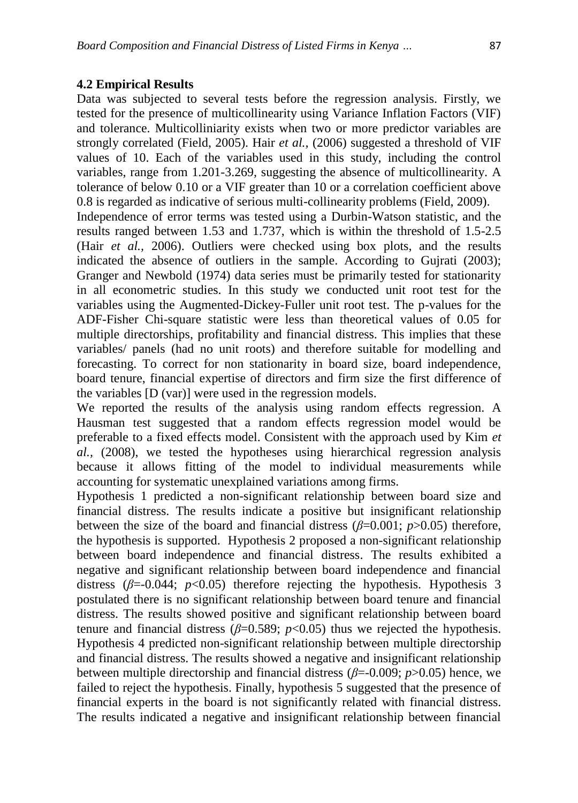### **4.2 Empirical Results**

Data was subjected to several tests before the regression analysis. Firstly, we tested for the presence of multicollinearity using Variance Inflation Factors (VIF) and tolerance. Multicolliniarity exists when two or more predictor variables are strongly correlated (Field, 2005). Hair *et al.,* (2006) suggested a threshold of VIF values of 10. Each of the variables used in this study, including the control variables, range from 1.201-3.269, suggesting the absence of multicollinearity. A tolerance of below 0.10 or a VIF greater than 10 or a correlation coefficient above 0.8 is regarded as indicative of serious multi-collinearity problems (Field, 2009).

Independence of error terms was tested using a Durbin-Watson statistic, and the results ranged between 1.53 and 1.737, which is within the threshold of 1.5-2.5 (Hair *et al.,* 2006). Outliers were checked using box plots, and the results indicated the absence of outliers in the sample. According to Gujrati (2003); Granger and Newbold (1974) data series must be primarily tested for stationarity in all econometric studies. In this study we conducted unit root test for the variables using the Augmented-Dickey-Fuller unit root test. The p-values for the ADF-Fisher Chi-square statistic were less than theoretical values of 0.05 for multiple directorships, profitability and financial distress. This implies that these variables/ panels (had no unit roots) and therefore suitable for modelling and forecasting. To correct for non stationarity in board size, board independence, board tenure, financial expertise of directors and firm size the first difference of the variables [D (var)] were used in the regression models.

We reported the results of the analysis using random effects regression. A Hausman test suggested that a random effects regression model would be preferable to a fixed effects model. Consistent with the approach used by Kim *et al.,* (2008), we tested the hypotheses using hierarchical regression analysis because it allows fitting of the model to individual measurements while accounting for systematic unexplained variations among firms.

Hypothesis 1 predicted a non-significant relationship between board size and financial distress. The results indicate a positive but insignificant relationship between the size of the board and financial distress ( $\beta$ =0.001;  $p$ >0.05) therefore, the hypothesis is supported. Hypothesis 2 proposed a non-significant relationship between board independence and financial distress. The results exhibited a negative and significant relationship between board independence and financial distress (*β*=-0.044; *p*<0.05) therefore rejecting the hypothesis. Hypothesis 3 postulated there is no significant relationship between board tenure and financial distress. The results showed positive and significant relationship between board tenure and financial distress ( $\beta$ =0.589;  $p$ <0.05) thus we rejected the hypothesis. Hypothesis 4 predicted non-significant relationship between multiple directorship and financial distress. The results showed a negative and insignificant relationship between multiple directorship and financial distress (*β*=-0.009; *p*>0.05) hence, we failed to reject the hypothesis. Finally, hypothesis 5 suggested that the presence of financial experts in the board is not significantly related with financial distress. The results indicated a negative and insignificant relationship between financial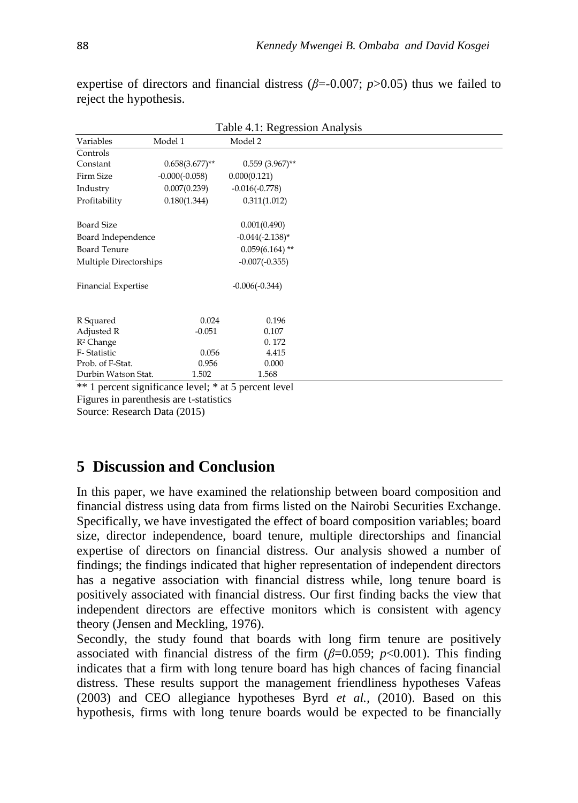expertise of directors and financial distress ( $\beta$ =-0.007;  $p$ >0.05) thus we failed to reject the hypothesis.

|                                                                                                                 |                          | Table +.1. Regression Trialysis |  |
|-----------------------------------------------------------------------------------------------------------------|--------------------------|---------------------------------|--|
| Variables                                                                                                       | Model 1                  | Model 2                         |  |
| Controls                                                                                                        |                          |                                 |  |
| Constant                                                                                                        | $0.658(3.677)$ **        | $0.559$ (3.967)**               |  |
| Firm Size                                                                                                       | $-0.000(-0.058)$         | 0.000(0.121)                    |  |
| Industry                                                                                                        | 0.007(0.239)             | $-0.016(-0.778)$                |  |
| Profitability                                                                                                   | 0.180(1.344)             | 0.311(1.012)                    |  |
| <b>Board Size</b>                                                                                               |                          | 0.001(0.490)                    |  |
| Board Independence                                                                                              |                          | $-0.044(-2.138)$ *              |  |
| <b>Board Tenure</b>                                                                                             |                          | $0.059(6.164)$ **               |  |
| Multiple Directorships                                                                                          |                          | $-0.007(-0.355)$                |  |
| Financial Expertise                                                                                             |                          | $-0.006(-0.344)$                |  |
| R Squared                                                                                                       | 0.024                    | 0.196                           |  |
| Adjusted R                                                                                                      | $-0.051$                 | 0.107                           |  |
| $R^2$ Change                                                                                                    |                          | 0.172                           |  |
| F-Statistic                                                                                                     | 0.056                    | 4.415                           |  |
| Prob. of F-Stat.                                                                                                | 0.956                    | 0.000                           |  |
| Durbin Watson Stat.                                                                                             | 1.502                    | 1.568                           |  |
| 39-39 The Contract of Contract China Property China Property China Property China Property China Property China | . 1. . 1. * . <i>. .</i> | 1.11                            |  |

Table 4.1: Regression Analysis

\*\* 1 percent significance level; \* at 5 percent level Figures in parenthesis are t-statistics Source: Research Data (2015)

# **5 Discussion and Conclusion**

In this paper, we have examined the relationship between board composition and financial distress using data from firms listed on the Nairobi Securities Exchange. Specifically, we have investigated the effect of board composition variables; board size, director independence, board tenure, multiple directorships and financial expertise of directors on financial distress. Our analysis showed a number of findings; the findings indicated that higher representation of independent directors has a negative association with financial distress while, long tenure board is positively associated with financial distress. Our first finding backs the view that independent directors are effective monitors which is consistent with agency theory (Jensen and Meckling, 1976).

Secondly, the study found that boards with long firm tenure are positively associated with financial distress of the firm  $(\beta=0.059; p<0.001)$ . This finding indicates that a firm with long tenure board has high chances of facing financial distress. These results support the management friendliness hypotheses Vafeas (2003) and CEO allegiance hypotheses Byrd *et al.,* (2010). Based on this hypothesis, firms with long tenure boards would be expected to be financially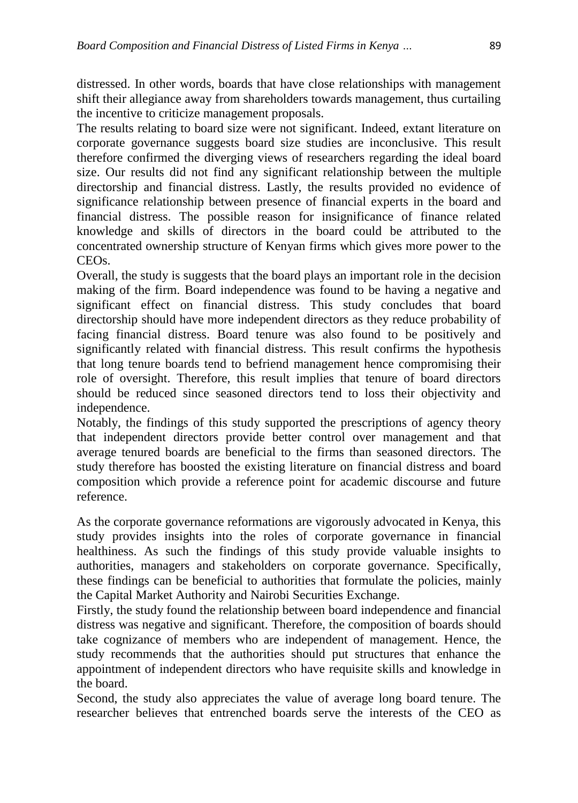distressed. In other words, boards that have close relationships with management shift their allegiance away from shareholders towards management, thus curtailing the incentive to criticize management proposals.

The results relating to board size were not significant. Indeed, extant literature on corporate governance suggests board size studies are inconclusive. This result therefore confirmed the diverging views of researchers regarding the ideal board size. Our results did not find any significant relationship between the multiple directorship and financial distress. Lastly, the results provided no evidence of significance relationship between presence of financial experts in the board and financial distress. The possible reason for insignificance of finance related knowledge and skills of directors in the board could be attributed to the concentrated ownership structure of Kenyan firms which gives more power to the CEOs.

Overall, the study is suggests that the board plays an important role in the decision making of the firm. Board independence was found to be having a negative and significant effect on financial distress. This study concludes that board directorship should have more independent directors as they reduce probability of facing financial distress. Board tenure was also found to be positively and significantly related with financial distress. This result confirms the hypothesis that long tenure boards tend to befriend management hence compromising their role of oversight. Therefore, this result implies that tenure of board directors should be reduced since seasoned directors tend to loss their objectivity and independence.

Notably, the findings of this study supported the prescriptions of agency theory that independent directors provide better control over management and that average tenured boards are beneficial to the firms than seasoned directors. The study therefore has boosted the existing literature on financial distress and board composition which provide a reference point for academic discourse and future reference.

As the corporate governance reformations are vigorously advocated in Kenya, this study provides insights into the roles of corporate governance in financial healthiness. As such the findings of this study provide valuable insights to authorities, managers and stakeholders on corporate governance. Specifically, these findings can be beneficial to authorities that formulate the policies, mainly the Capital Market Authority and Nairobi Securities Exchange.

Firstly, the study found the relationship between board independence and financial distress was negative and significant. Therefore, the composition of boards should take cognizance of members who are independent of management. Hence, the study recommends that the authorities should put structures that enhance the appointment of independent directors who have requisite skills and knowledge in the board.

Second, the study also appreciates the value of average long board tenure. The researcher believes that entrenched boards serve the interests of the CEO as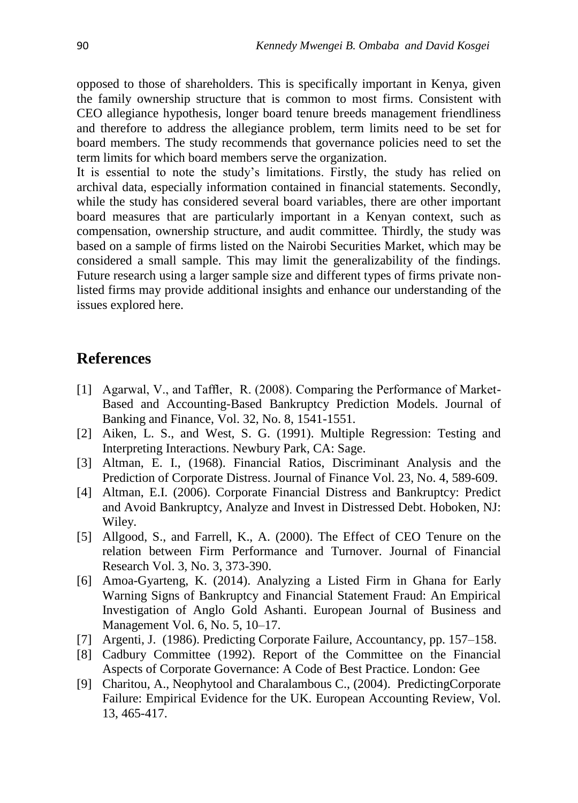opposed to those of shareholders. This is specifically important in Kenya, given the family ownership structure that is common to most firms. Consistent with CEO allegiance hypothesis, longer board tenure breeds management friendliness and therefore to address the allegiance problem, term limits need to be set for board members. The study recommends that governance policies need to set the term limits for which board members serve the organization.

It is essential to note the study's limitations. Firstly, the study has relied on archival data, especially information contained in financial statements. Secondly, while the study has considered several board variables, there are other important board measures that are particularly important in a Kenyan context, such as compensation, ownership structure, and audit committee. Thirdly, the study was based on a sample of firms listed on the Nairobi Securities Market, which may be considered a small sample. This may limit the generalizability of the findings. Future research using a larger sample size and different types of firms private nonlisted firms may provide additional insights and enhance our understanding of the issues explored here.

## **References**

- [1] Agarwal, V., and Taffler, R. (2008). Comparing the Performance of Market-Based and Accounting-Based Bankruptcy Prediction Models. Journal of Banking and Finance, Vol. 32, No. 8, 1541-1551.
- [2] Aiken, L. S., and West, S. G. (1991). Multiple Regression: Testing and Interpreting Interactions. Newbury Park, CA: Sage.
- [3] Altman, E. I., (1968). Financial Ratios, Discriminant Analysis and the Prediction of Corporate Distress. Journal of Finance Vol. 23, No. 4, 589-609.
- [4] Altman, E.I. (2006). Corporate Financial Distress and Bankruptcy: Predict and Avoid Bankruptcy, Analyze and Invest in Distressed Debt. Hoboken, NJ: Wiley.
- [5] Allgood, S., and Farrell, K., A. (2000). The Effect of CEO Tenure on the relation between Firm Performance and Turnover. Journal of Financial Research Vol. 3, No. 3, 373-390.
- [6] Amoa-Gyarteng, K. (2014). Analyzing a Listed Firm in Ghana for Early Warning Signs of Bankruptcy and Financial Statement Fraud: An Empirical Investigation of Anglo Gold Ashanti. European Journal of Business and Management Vol. 6, No. 5, 10–17.
- [7] Argenti, J. (1986). Predicting Corporate Failure, Accountancy, pp. 157–158.
- [8] Cadbury Committee (1992). Report of the Committee on the Financial Aspects of Corporate Governance: A Code of Best Practice. London: Gee
- [9] Charitou, A., Neophytool and Charalambous C., (2004). PredictingCorporate Failure: Empirical Evidence for the UK. European Accounting Review, Vol. 13, 465-417.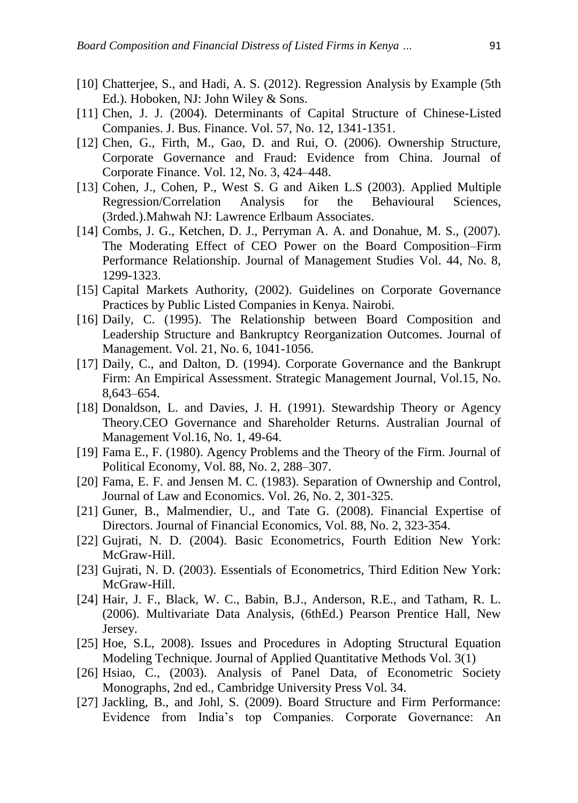- [10] Chatterjee, S., and Hadi, A. S. (2012). Regression Analysis by Example (5th Ed.). Hoboken, NJ: John Wiley & Sons.
- [11] Chen, J. J. (2004). Determinants of Capital Structure of Chinese-Listed Companies. J. Bus. Finance. Vol. 57, No. 12, 1341-1351.
- [12] Chen, G., Firth, M., Gao, D. and Rui, O. (2006). Ownership Structure, Corporate Governance and Fraud: Evidence from China. Journal of Corporate Finance. Vol. 12, No. 3, 424–448.
- [13] Cohen, J., Cohen, P., West S. G and Aiken L.S (2003). Applied Multiple Regression/Correlation Analysis for the Behavioural Sciences, (3rded.).Mahwah NJ: Lawrence Erlbaum Associates.
- [14] Combs, J. G., Ketchen, D. J., Perryman A. A. and Donahue, M. S., (2007). The Moderating Effect of CEO Power on the Board Composition–Firm Performance Relationship. Journal of Management Studies Vol. 44, No. 8, 1299-1323.
- [15] Capital Markets Authority, (2002). Guidelines on Corporate Governance Practices by Public Listed Companies in Kenya. Nairobi.
- [16] Daily, C. (1995). The Relationship between Board Composition and Leadership Structure and Bankruptcy Reorganization Outcomes. Journal of Management. Vol. 21, No. 6, 1041-1056.
- [17] Daily, C., and Dalton, D. (1994). Corporate Governance and the Bankrupt Firm: An Empirical Assessment. Strategic Management Journal, Vol.15, No. 8,643–654.
- [18] Donaldson, L. and Davies, J. H. (1991). Stewardship Theory or Agency Theory.CEO Governance and Shareholder Returns. Australian Journal of Management Vol.16, No. 1, 49-64.
- [19] Fama E., F. (1980). Agency Problems and the Theory of the Firm. Journal of Political Economy, Vol. 88, No. 2, 288–307.
- [20] Fama, E. F. and Jensen M. C. (1983). Separation of Ownership and Control, Journal of Law and Economics. Vol. 26, No. 2, 301-325.
- [21] Guner, B., Malmendier, U., and Tate G. (2008). Financial Expertise of Directors. Journal of Financial Economics, Vol. 88, No. 2, 323-354.
- [22] Gujrati, N. D. (2004). Basic Econometrics, Fourth Edition New York: McGraw-Hill.
- [23] Gujrati, N. D. (2003). Essentials of Econometrics, Third Edition New York: McGraw-Hill.
- [24] Hair, J. F., Black, W. C., Babin, B.J., Anderson, R.E., and Tatham, R. L. (2006). Multivariate Data Analysis, (6thEd.) Pearson Prentice Hall, New Jersey.
- [25] Hoe, S.L, 2008). Issues and Procedures in Adopting Structural Equation Modeling Technique. Journal of Applied Quantitative Methods Vol. 3(1)
- [26] Hsiao, C., (2003). Analysis of Panel Data, of Econometric Society Monographs, 2nd ed., Cambridge University Press Vol. 34.
- [27] Jackling, B., and Johl, S. (2009). Board Structure and Firm Performance: Evidence from India's top Companies. Corporate Governance: An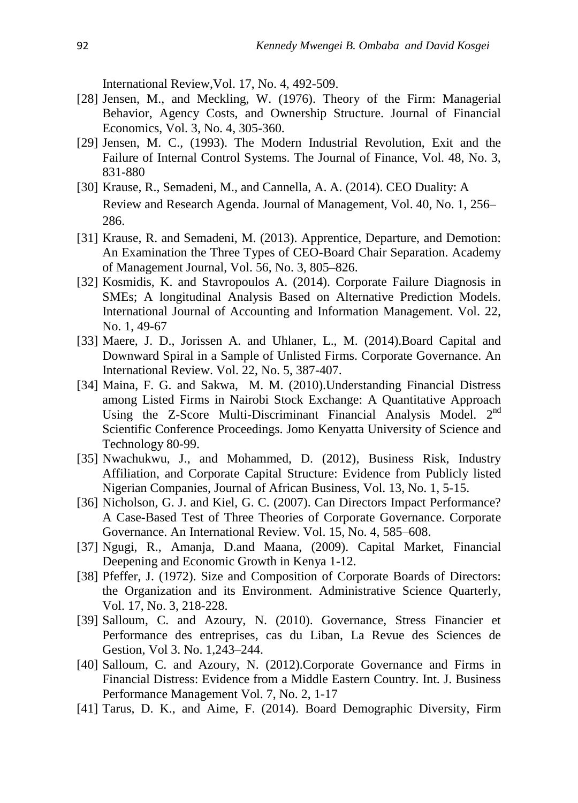International Review,Vol. 17, No. 4, 492-509.

- [28] Jensen, M., and Meckling, W. (1976). Theory of the Firm: Managerial Behavior, Agency Costs, and Ownership Structure. Journal of Financial Economics, Vol. 3, No. 4, 305-360.
- [29] Jensen, M. C., (1993). The Modern Industrial Revolution, Exit and the Failure of Internal Control Systems. The Journal of Finance, Vol. 48, No. 3, 831-880
- [30] Krause, R., Semadeni, M., and Cannella, A. A. (2014). CEO Duality: A Review and Research Agenda. Journal of Management, Vol. 40, No. 1, 256– 286.
- [31] Krause, R. and Semadeni, M. (2013). Apprentice, Departure, and Demotion: An Examination the Three Types of CEO-Board Chair Separation. Academy of Management Journal, Vol. 56, No. 3, 805–826.
- [32] Kosmidis, K. and Stavropoulos A. (2014). Corporate Failure Diagnosis in SMEs; A longitudinal Analysis Based on Alternative Prediction Models. International Journal of Accounting and Information Management. Vol. 22, No. 1, 49-67
- [33] Maere, J. D., Jorissen A. and Uhlaner, L., M. (2014).Board Capital and Downward Spiral in a Sample of Unlisted Firms. Corporate Governance. An International Review. Vol. 22, No. 5, 387-407.
- [34] Maina, F. G. and Sakwa, M. M. (2010).Understanding Financial Distress among Listed Firms in Nairobi Stock Exchange: A Quantitative Approach Using the Z-Score Multi-Discriminant Financial Analysis Model. 2<sup>nd</sup> Scientific Conference Proceedings. Jomo Kenyatta University of Science and Technology 80-99.
- [35] Nwachukwu, J., and Mohammed, D. (2012), Business Risk, Industry Affiliation, and Corporate Capital Structure: Evidence from Publicly listed Nigerian Companies, Journal of African Business, Vol. 13, No. 1, 5-15.
- [36] Nicholson, G. J. and Kiel, G. C. (2007). Can Directors Impact Performance? A Case-Based Test of Three Theories of Corporate Governance. Corporate Governance. An International Review. Vol. 15, No. 4, 585–608.
- [37] Ngugi, R., Amanja, D.and Maana, (2009). Capital Market, Financial Deepening and Economic Growth in Kenya 1-12.
- [38] Pfeffer, J. (1972). Size and Composition of Corporate Boards of Directors: the Organization and its Environment. Administrative Science Quarterly, Vol. 17, No. 3, 218-228.
- [39] Salloum, C. and Azoury, N. (2010). Governance, Stress Financier et Performance des entreprises, cas du Liban, La Revue des Sciences de Gestion, Vol 3. No. 1,243–244.
- [40] Salloum, C. and Azoury, N. (2012).Corporate Governance and Firms in Financial Distress: Evidence from a Middle Eastern Country. Int. J. Business Performance Management Vol. 7, No. 2, 1-17
- [41] Tarus, D. K., and Aime, F. (2014). Board Demographic Diversity, Firm